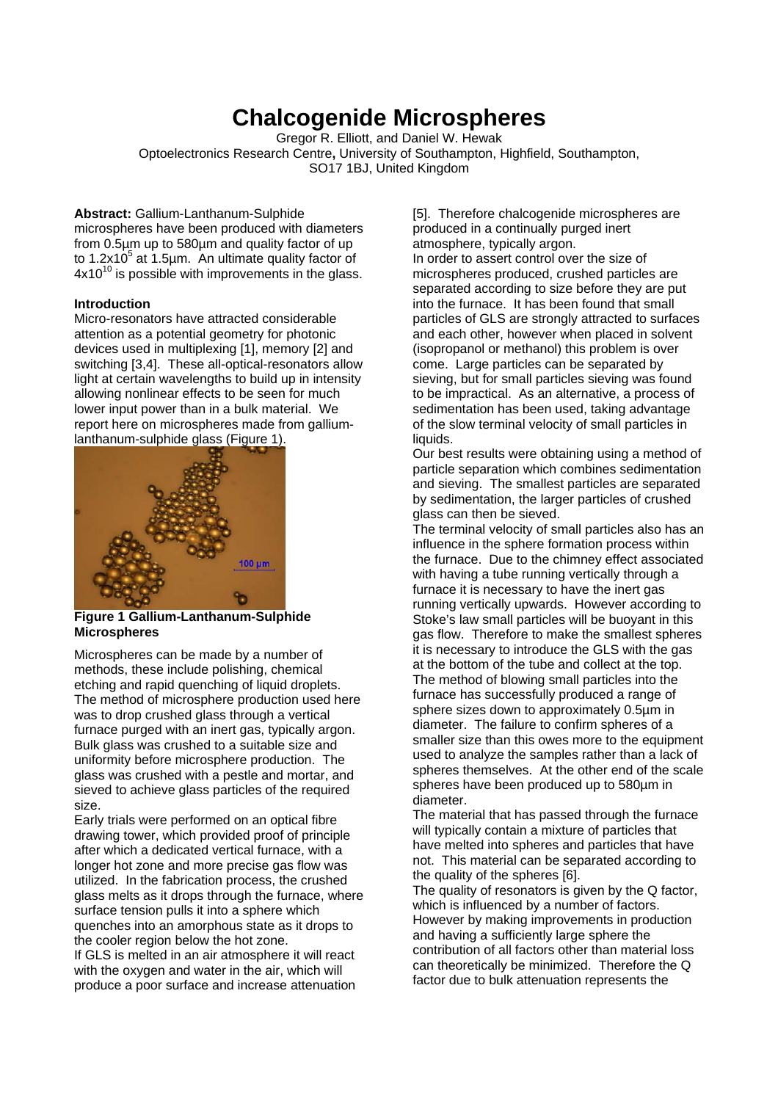# **Chalcogenide Microspheres**

Gregor R. Elliott, and Daniel W. Hewak Optoelectronics Research Centre**,** University of Southampton, Highfield, Southampton, SO17 1BJ, United Kingdom

**Abstract:** Gallium-Lanthanum-Sulphide microspheres have been produced with diameters from 0.5µm up to 580µm and quality factor of up to 1.2x10 $<sup>5</sup>$  at 1.5µm. An ultimate quality factor of</sup>  $4x10^{10}$  is possible with improvements in the glass.

## **Introduction**

Micro-resonators have attracted considerable attention as a potential geometry for photonic devices used in multiplexing [1], memory [2] and switching [3,4]. These all-optical-resonators allow light at certain wavelengths to build up in intensity allowing nonlinear effects to be seen for much lower input power than in a bulk material. We report here on microspheres made from galliumlanthanum-sulphide glass (Figure 1).



### **Figure 1 Gallium-Lanthanum-Sulphide Microspheres**

Microspheres can be made by a number of methods, these include polishing, chemical etching and rapid quenching of liquid droplets. The method of microsphere production used here was to drop crushed glass through a vertical furnace purged with an inert gas, typically argon. Bulk glass was crushed to a suitable size and uniformity before microsphere production. The glass was crushed with a pestle and mortar, and sieved to achieve glass particles of the required size.

Early trials were performed on an optical fibre drawing tower, which provided proof of principle after which a dedicated vertical furnace, with a longer hot zone and more precise gas flow was utilized. In the fabrication process, the crushed glass melts as it drops through the furnace, where surface tension pulls it into a sphere which quenches into an amorphous state as it drops to the cooler region below the hot zone.

If GLS is melted in an air atmosphere it will react with the oxygen and water in the air, which will produce a poor surface and increase attenuation [5]. Therefore chalcogenide microspheres are produced in a continually purged inert atmosphere, typically argon. In order to assert control over the size of microspheres produced, crushed particles are separated according to size before they are put into the furnace. It has been found that small particles of GLS are strongly attracted to surfaces and each other, however when placed in solvent (isopropanol or methanol) this problem is over come. Large particles can be separated by sieving, but for small particles sieving was found to be impractical. As an alternative, a process of sedimentation has been used, taking advantage of the slow terminal velocity of small particles in liquids.

Our best results were obtaining using a method of particle separation which combines sedimentation and sieving. The smallest particles are separated by sedimentation, the larger particles of crushed glass can then be sieved.

The terminal velocity of small particles also has an influence in the sphere formation process within the furnace. Due to the chimney effect associated with having a tube running vertically through a furnace it is necessary to have the inert gas running vertically upwards. However according to Stoke's law small particles will be buoyant in this gas flow. Therefore to make the smallest spheres it is necessary to introduce the GLS with the gas at the bottom of the tube and collect at the top. The method of blowing small particles into the furnace has successfully produced a range of sphere sizes down to approximately 0.5µm in diameter. The failure to confirm spheres of a smaller size than this owes more to the equipment used to analyze the samples rather than a lack of spheres themselves. At the other end of the scale spheres have been produced up to 580µm in diameter.

The material that has passed through the furnace will typically contain a mixture of particles that have melted into spheres and particles that have not. This material can be separated according to the quality of the spheres [6].

The quality of resonators is given by the Q factor, which is influenced by a number of factors. However by making improvements in production and having a sufficiently large sphere the contribution of all factors other than material loss can theoretically be minimized. Therefore the Q factor due to bulk attenuation represents the